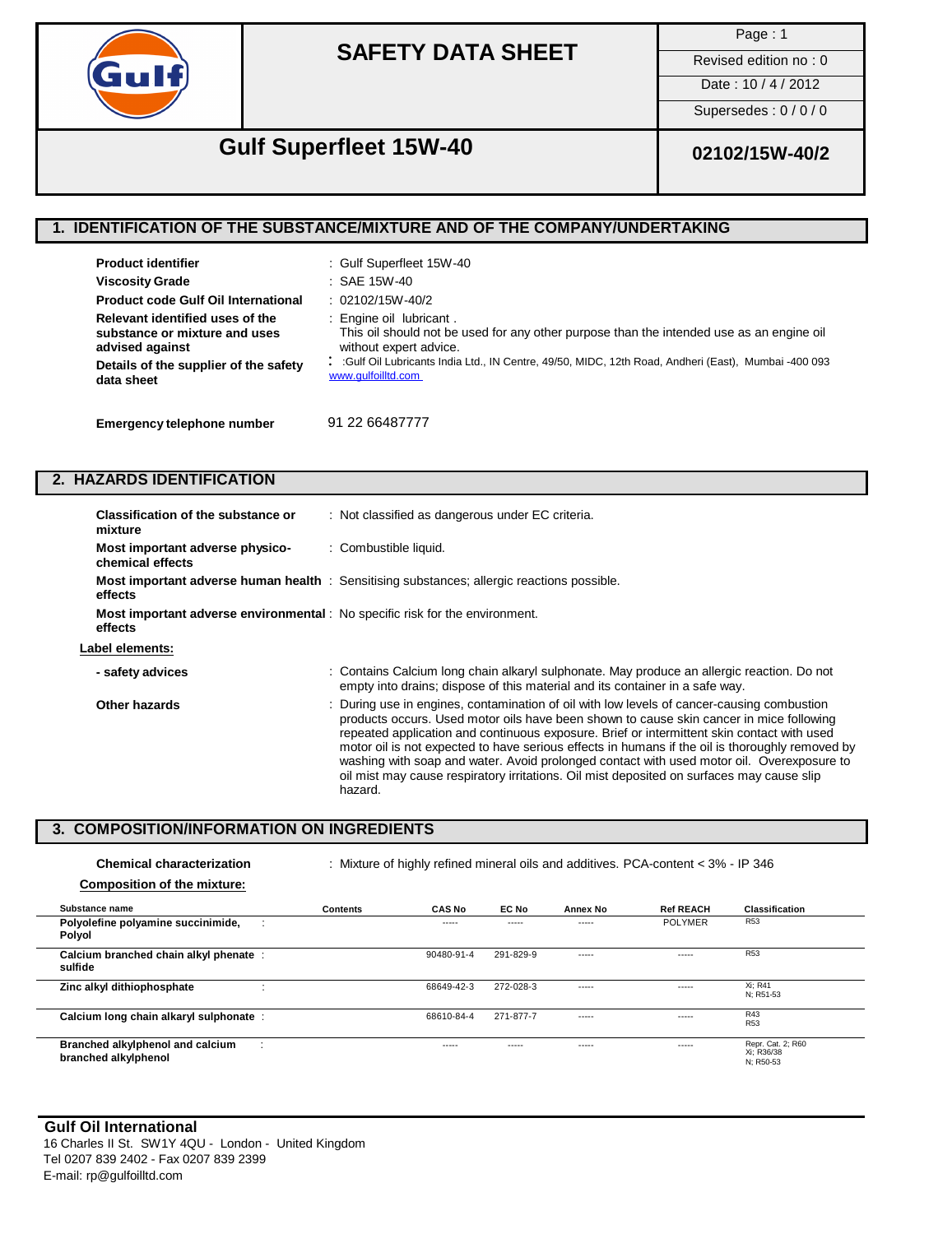

Page : 1

Revised edition no : 0

Date: 10 / 4 / 2012

Supersedes : 0 / 0 / 0

# **Gulf Superfleet 15W-40 02102/15W-40/2**

### **1. IDENTIFICATION OF THE SUBSTANCE/MIXTURE AND OF THE COMPANY/UNDERTAKING**

| <b>Product identifier</b>                  | : Gulf Superfleet 15W-40                                                                            |
|--------------------------------------------|-----------------------------------------------------------------------------------------------------|
| <b>Viscosity Grade</b>                     | : SAE 15W-40                                                                                        |
| <b>Product code Gulf Oil International</b> | $: 02102/15W - 40/2$                                                                                |
| Relevant identified uses of the            | : Engine oil lubricant.                                                                             |
| substance or mixture and uses              | This oil should not be used for any other purpose than the intended use as an engine oil            |
| advised against                            | without expert advice.                                                                              |
| Details of the supplier of the safety      | :Gulf Oil Lubricants India Ltd., IN Centre, 49/50, MIDC, 12th Road, Andheri (East), Mumbai -400 093 |
| data sheet                                 | www.gulfoilltd.com                                                                                  |
| Emergency telephone number                 | 91 22 66487777                                                                                      |

: (Provide your emergency telephone contact number. This should be ideally on a should be ideally on a should be ideally on a should be ideal of  $\sim$ 

### **2. HAZARDS IDENTIFICATION**

| Classification of the substance or<br>mixture                                                  | : Not classified as dangerous under EC criteria.                                                                                                                                                                                                                                                                                                                                                                                                                                                                                                                                            |
|------------------------------------------------------------------------------------------------|---------------------------------------------------------------------------------------------------------------------------------------------------------------------------------------------------------------------------------------------------------------------------------------------------------------------------------------------------------------------------------------------------------------------------------------------------------------------------------------------------------------------------------------------------------------------------------------------|
| Most important adverse physico-<br>chemical effects                                            | : Combustible liquid.                                                                                                                                                                                                                                                                                                                                                                                                                                                                                                                                                                       |
| effects                                                                                        | <b>Most important adverse human health</b> : Sensitising substances; allergic reactions possible.                                                                                                                                                                                                                                                                                                                                                                                                                                                                                           |
| <b>Most important adverse environmental</b> : No specific risk for the environment.<br>effects |                                                                                                                                                                                                                                                                                                                                                                                                                                                                                                                                                                                             |
| Label elements:                                                                                |                                                                                                                                                                                                                                                                                                                                                                                                                                                                                                                                                                                             |
| - safety advices                                                                               | : Contains Calcium long chain alkaryl sulphonate. May produce an allergic reaction. Do not<br>empty into drains; dispose of this material and its container in a safe way.                                                                                                                                                                                                                                                                                                                                                                                                                  |
| Other hazards                                                                                  | : During use in engines, contamination of oil with low levels of cancer-causing combustion<br>products occurs. Used motor oils have been shown to cause skin cancer in mice following<br>repeated application and continuous exposure. Brief or intermittent skin contact with used<br>motor oil is not expected to have serious effects in humans if the oil is thoroughly removed by<br>washing with soap and water. Avoid prolonged contact with used motor oil. Overexposure to<br>oil mist may cause respiratory irritations. Oil mist deposited on surfaces may cause slip<br>hazard. |

### **3. COMPOSITION/INFORMATION ON INGREDIENTS**

| <b>Chemical characterization</b>                         | : Mixture of highly refined mineral oils and additives. PCA-content < 3% - IP 346 |               |           |          |                  |                                              |
|----------------------------------------------------------|-----------------------------------------------------------------------------------|---------------|-----------|----------|------------------|----------------------------------------------|
| <b>Composition of the mixture:</b>                       |                                                                                   |               |           |          |                  |                                              |
| Substance name                                           | <b>Contents</b>                                                                   | <b>CAS No</b> | EC No     | Annex No | <b>Ref REACH</b> | <b>Classification</b>                        |
| Polyolefine polyamine succinimide,<br>Polyol             |                                                                                   | -----         | -----     | -----    | <b>POLYMER</b>   | R <sub>53</sub>                              |
| Calcium branched chain alkyl phenate :<br>sulfide        |                                                                                   | 90480-91-4    | 291-829-9 | -----    | -----            | R <sub>53</sub>                              |
| Zinc alkyl dithiophosphate                               |                                                                                   | 68649-42-3    | 272-028-3 | -----    | $- - - - -$      | Xi; R41<br>N: R51-53                         |
| Calcium long chain alkaryl sulphonate :                  |                                                                                   | 68610-84-4    | 271-877-7 | -----    | $- - - - -$      | R43<br>R <sub>53</sub>                       |
| Branched alkylphenol and calcium<br>branched alkylphenol |                                                                                   | -----         | $---$     | -----    | $- - - - -$      | Repr. Cat. 2; R60<br>Xi; R36/38<br>N: R50-53 |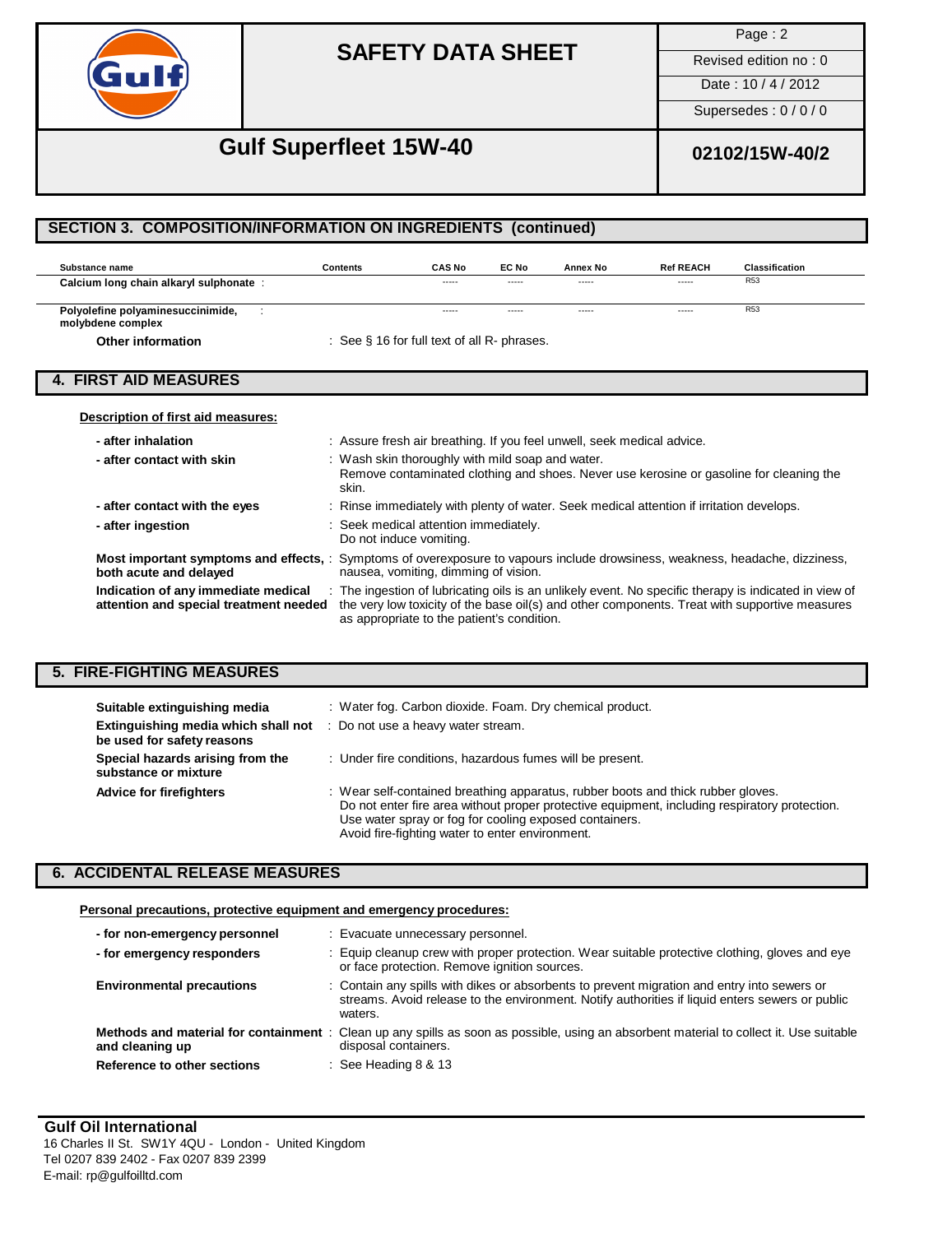

Page : 2

Revised edition no : 0

#### Date : 10 / 4 / 2012

Supersedes : 0 / 0 / 0

## **Gulf Superfleet 15W-40 02102/15W-40/2**

#### **Substance name Calcium long chain alkaryl sulphonate** : **Contents CAS No EC No Annex No Ref REACH Classification** ----- ----- ----- ----- R53 **Polyolefine polyaminesuccinimide,** : and the state of the state of the state of the state of the state of the state of the state of the state of the state of the state of the state of the state of the state of the state o **molybdene complex Other information** ----- ----- ----- ----- : See § 16 for full text of all R- phrases. **Description of first aid measures: - after inhalation - after contact with skin** : Assure fresh air breathing. If you feel unwell, seek medical advice. : Wash skin thoroughly with mild soap and water. Remove contaminated clothing and shoes. Never use kerosine or gasoline for cleaning the skin. : Rinse immediately with plenty of water. Seek medical attention if irritation develops. : Seek medical attention immediately. Do not induce vomiting. **- after contact with the eyes - after ingestion Most important symptoms and effects,** : Symptoms of overexposure to vapours include drowsiness, weakness, headache, dizziness, **both acute and delayed** nausea, vomiting, dimming of vision. **Indication of any immediate medical** : The ingestion of lubricating oils is an unlikely event. No specific therapy is indicated in view of **attention and special treatment needed** the very low toxicity of the base oil(s) the very low toxicity of the base oil(s) and other components. Treat with supportive measures **4. FIRST AID MEASURES SECTION 3. COMPOSITION/INFORMATION ON INGREDIENTS (continued)**

as appropriate to the patient's condition.

### **5. FIRE-FIGHTING MEASURES**

| Suitable extinguishing media<br>Extinguishing media which shall not<br>be used for safety reasons | : Water fog. Carbon dioxide. Foam. Dry chemical product.<br>: Do not use a heavy water stream.                                                                                                                                                                                                 |
|---------------------------------------------------------------------------------------------------|------------------------------------------------------------------------------------------------------------------------------------------------------------------------------------------------------------------------------------------------------------------------------------------------|
| Special hazards arising from the<br>substance or mixture                                          | : Under fire conditions, hazardous fumes will be present.                                                                                                                                                                                                                                      |
| <b>Advice for firefighters</b>                                                                    | : Wear self-contained breathing apparatus, rubber boots and thick rubber gloves.<br>Do not enter fire area without proper protective equipment, including respiratory protection.<br>Use water spray or fog for cooling exposed containers.<br>Avoid fire-fighting water to enter environment. |

### **6. ACCIDENTAL RELEASE MEASURES**

#### **Personal precautions, protective equipment and emergency procedures:**

| - for non-emergency personnel                            | : Evacuate unnecessary personnel.                                                                                                                                                                         |
|----------------------------------------------------------|-----------------------------------------------------------------------------------------------------------------------------------------------------------------------------------------------------------|
| - for emergency responders                               | : Equip cleanup crew with proper protection. Wear suitable protective clothing, gloves and eye<br>or face protection. Remove ignition sources.                                                            |
| <b>Environmental precautions</b>                         | : Contain any spills with dikes or absorbents to prevent migration and entry into sewers or<br>streams. Avoid release to the environment. Notify authorities if liquid enters sewers or public<br>waters. |
| Methods and material for containment:<br>and cleaning up | Clean up any spills as soon as possible, using an absorbent material to collect it. Use suitable<br>disposal containers.                                                                                  |
| Reference to other sections                              | $\therefore$ See Heading 8 & 13                                                                                                                                                                           |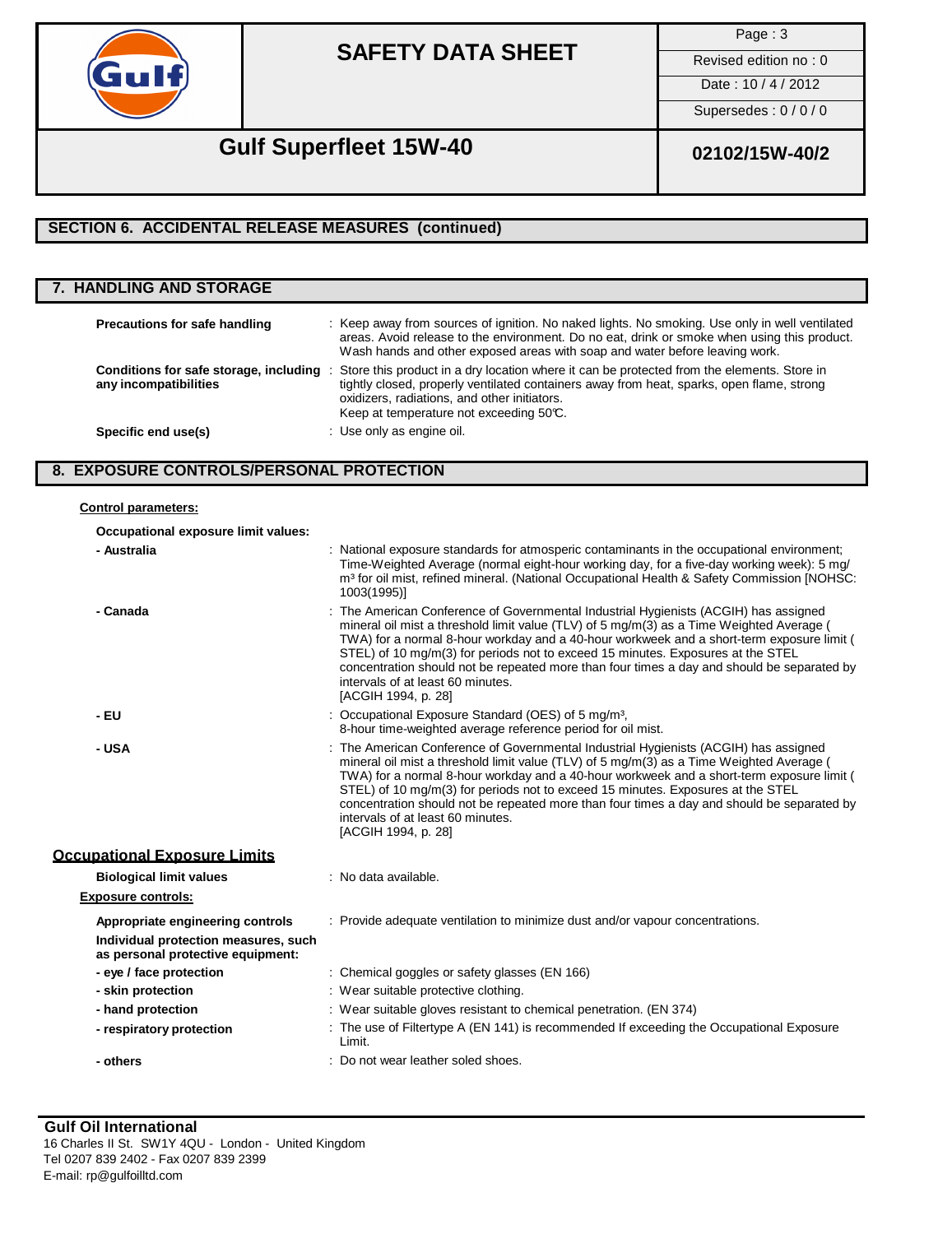

Page : 3

Revised edition no : 0 Date: 10 / 4 / 2012

Supersedes : 0 / 0 / 0

# **Gulf Superfleet 15W-40 02102/15W-40/2**

### **SECTION 6. ACCIDENTAL RELEASE MEASURES (continued)**

| <b>7. HANDLING AND STORAGE</b>                                  |                                                                                                                                                                                                                                                                                    |
|-----------------------------------------------------------------|------------------------------------------------------------------------------------------------------------------------------------------------------------------------------------------------------------------------------------------------------------------------------------|
| Precautions for safe handling                                   | : Keep away from sources of ignition. No naked lights. No smoking. Use only in well ventilated<br>areas. Avoid release to the environment. Do no eat, drink or smoke when using this product.<br>Wash hands and other exposed areas with soap and water before leaving work.       |
| Conditions for safe storage, including<br>any incompatibilities | Store this product in a dry location where it can be protected from the elements. Store in<br>tightly closed, properly ventilated containers away from heat, sparks, open flame, strong<br>oxidizers, radiations, and other initiators.<br>Keep at temperature not exceeding 50°C. |
| Specific end use(s)                                             | : Use only as engine oil.                                                                                                                                                                                                                                                          |

### **8. EXPOSURE CONTROLS/PERSONAL PROTECTION**

### **Control parameters:**

**Occupational exposure limit values:**

| - Australia                                                               | : National exposure standards for atmosperic contaminants in the occupational environment;<br>Time-Weighted Average (normal eight-hour working day, for a five-day working week): 5 mg/<br>m <sup>3</sup> for oil mist, refined mineral. (National Occupational Health & Safety Commission [NOHSC:<br>1003(1995)]                                                                                                                                                                                                          |
|---------------------------------------------------------------------------|----------------------------------------------------------------------------------------------------------------------------------------------------------------------------------------------------------------------------------------------------------------------------------------------------------------------------------------------------------------------------------------------------------------------------------------------------------------------------------------------------------------------------|
| - Canada                                                                  | : The American Conference of Governmental Industrial Hygienists (ACGIH) has assigned<br>mineral oil mist a threshold limit value (TLV) of 5 mg/m(3) as a Time Weighted Average (<br>TWA) for a normal 8-hour workday and a 40-hour workweek and a short-term exposure limit (<br>STEL) of 10 mg/m(3) for periods not to exceed 15 minutes. Exposures at the STEL<br>concentration should not be repeated more than four times a day and should be separated by<br>intervals of at least 60 minutes.<br>[ACGIH 1994, p. 28] |
| - EU                                                                      | : Occupational Exposure Standard (OES) of 5 mg/m <sup>3</sup> ,<br>8-hour time-weighted average reference period for oil mist.                                                                                                                                                                                                                                                                                                                                                                                             |
| - USA                                                                     | : The American Conference of Governmental Industrial Hygienists (ACGIH) has assigned<br>mineral oil mist a threshold limit value (TLV) of 5 mg/m(3) as a Time Weighted Average (<br>TWA) for a normal 8-hour workday and a 40-hour workweek and a short-term exposure limit (<br>STEL) of 10 mg/m(3) for periods not to exceed 15 minutes. Exposures at the STEL<br>concentration should not be repeated more than four times a day and should be separated by<br>intervals of at least 60 minutes.<br>[ACGIH 1994, p. 28] |
| <b>Occupational Exposure Limits</b>                                       |                                                                                                                                                                                                                                                                                                                                                                                                                                                                                                                            |
| <b>Biological limit values</b>                                            | : No data available.                                                                                                                                                                                                                                                                                                                                                                                                                                                                                                       |
| <b>Exposure controls:</b>                                                 |                                                                                                                                                                                                                                                                                                                                                                                                                                                                                                                            |
| Appropriate engineering controls                                          | : Provide adequate ventilation to minimize dust and/or vapour concentrations.                                                                                                                                                                                                                                                                                                                                                                                                                                              |
| Individual protection measures, such<br>as personal protective equipment: |                                                                                                                                                                                                                                                                                                                                                                                                                                                                                                                            |
| - eye / face protection                                                   | : Chemical goggles or safety glasses (EN 166)                                                                                                                                                                                                                                                                                                                                                                                                                                                                              |
| - skin protection                                                         | : Wear suitable protective clothing.                                                                                                                                                                                                                                                                                                                                                                                                                                                                                       |
| - hand protection                                                         | : Wear suitable gloves resistant to chemical penetration. (EN 374)                                                                                                                                                                                                                                                                                                                                                                                                                                                         |
| - respiratory protection                                                  | : The use of Filtertype A (EN 141) is recommended If exceeding the Occupational Exposure<br>Limit.                                                                                                                                                                                                                                                                                                                                                                                                                         |
| - others                                                                  | : Do not wear leather soled shoes.                                                                                                                                                                                                                                                                                                                                                                                                                                                                                         |

### **Gulf Oil International** 16 Charles II St. SW1Y 4QU - London - United Kingdom Tel 0207 839 2402 - Fax 0207 839 2399

E-mail: [rp@gulfoilltd.com](mailto:rp@gulfoilltd.com)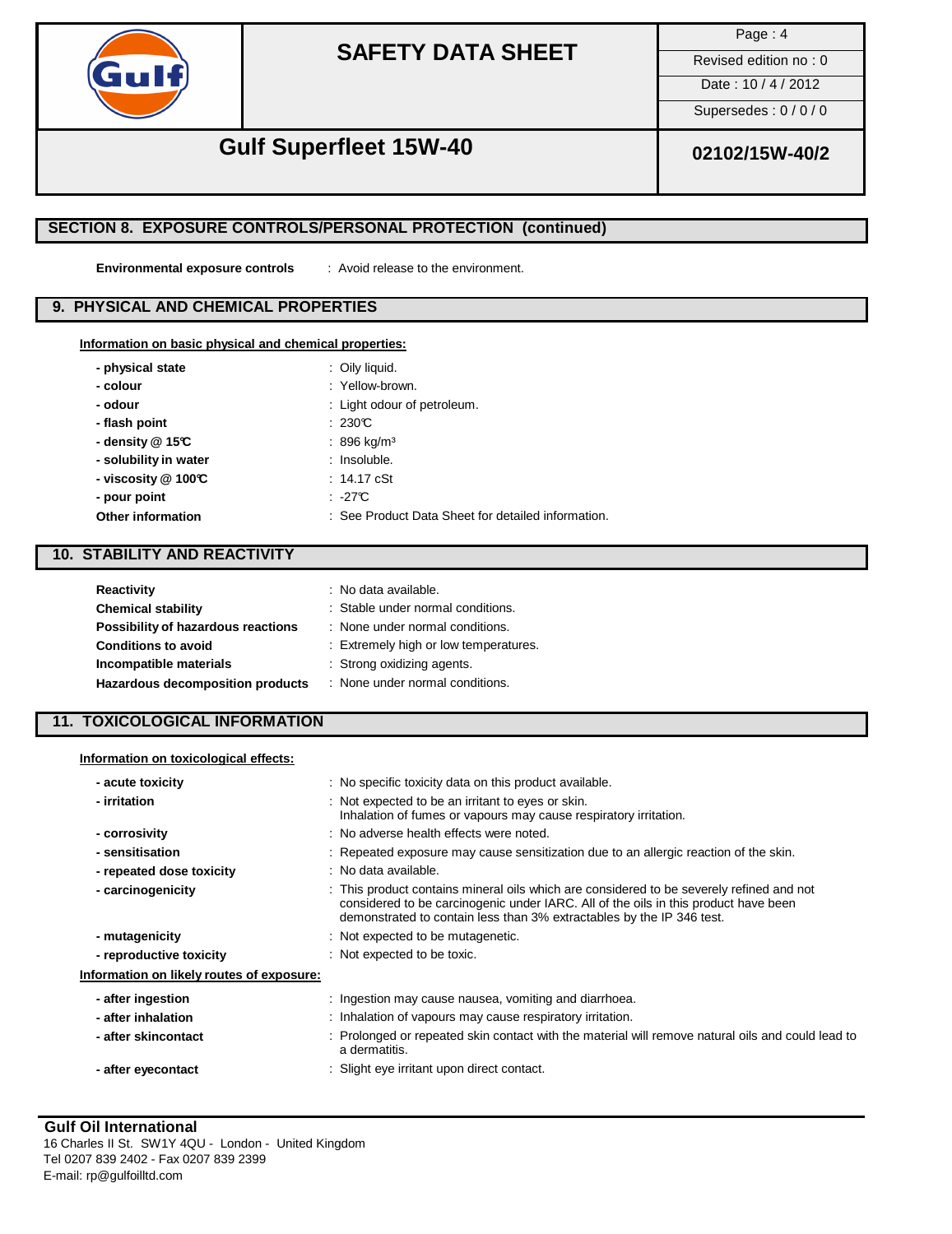

Page : 4

Revised edition no : 0

Date: 10 / 4 / 2012

Supersedes : 0 / 0 / 0

# **Gulf Superfleet 15W-40 02102/15W-40/2**

### **SECTION 8. EXPOSURE CONTROLS/PERSONAL PROTECTION (continued)**

**Environmental exposure controls** : Avoid release to the environment.

### **9. PHYSICAL AND CHEMICAL PROPERTIES**

|  |  |  |  | Information on basic physical and chemical properties: |  |
|--|--|--|--|--------------------------------------------------------|--|
|  |  |  |  |                                                        |  |

| - physical state         | : Oily liquid.                                     |
|--------------------------|----------------------------------------------------|
| - colour                 | : Yellow-brown.                                    |
| - odour                  | : Light odour of petroleum.                        |
| - flash point            | :230C                                              |
| - density $@$ 15°C       | $: 896$ kg/m <sup>3</sup>                          |
| - solubility in water    | : Insoluble.                                       |
| - viscosity $@$ 100 $@$  | $: 14.17 \text{ cSt}$                              |
| - pour point             | .27C                                               |
| <b>Other information</b> | : See Product Data Sheet for detailed information. |
|                          |                                                    |

### **10. STABILITY AND REACTIVITY**

| <b>Reactivity</b>                  | : No data available.                  |
|------------------------------------|---------------------------------------|
| <b>Chemical stability</b>          | : Stable under normal conditions.     |
| Possibility of hazardous reactions | : None under normal conditions.       |
| <b>Conditions to avoid</b>         | : Extremely high or low temperatures. |
| Incompatible materials             | : Strong oxidizing agents.            |
| Hazardous decomposition products   | : None under normal conditions.       |

### **11. TOXICOLOGICAL INFORMATION**

|  | Information on toxicological effects: |  |
|--|---------------------------------------|--|
|  |                                       |  |

| - acute toxicity                          | : No specific toxicity data on this product available.                                                                                                                                                                                                   |
|-------------------------------------------|----------------------------------------------------------------------------------------------------------------------------------------------------------------------------------------------------------------------------------------------------------|
| - irritation                              | : Not expected to be an irritant to eyes or skin.<br>Inhalation of fumes or vapours may cause respiratory irritation.                                                                                                                                    |
| - corrosivity                             | : No adverse health effects were noted.                                                                                                                                                                                                                  |
| - sensitisation                           | : Repeated exposure may cause sensitization due to an allergic reaction of the skin.                                                                                                                                                                     |
| - repeated dose toxicity                  | : No data available.                                                                                                                                                                                                                                     |
| - carcinogenicity                         | : This product contains mineral oils which are considered to be severely refined and not<br>considered to be carcinogenic under IARC. All of the oils in this product have been<br>demonstrated to contain less than 3% extractables by the IP 346 test. |
| - mutagenicity                            | : Not expected to be mutagenetic.                                                                                                                                                                                                                        |
| - reproductive toxicity                   | : Not expected to be toxic.                                                                                                                                                                                                                              |
| Information on likely routes of exposure: |                                                                                                                                                                                                                                                          |
| - after ingestion                         | : Ingestion may cause nausea, vomiting and diarrhoea.                                                                                                                                                                                                    |
| - after inhalation                        | : Inhalation of vapours may cause respiratory irritation.                                                                                                                                                                                                |
| - after skincontact                       | : Prolonged or repeated skin contact with the material will remove natural oils and could lead to<br>a dermatitis.                                                                                                                                       |
| - after eyecontact                        | : Slight eye irritant upon direct contact.                                                                                                                                                                                                               |
|                                           |                                                                                                                                                                                                                                                          |

### **Gulf Oil International**

16 Charles II St. SW1Y 4QU - London - United Kingdom Tel 0207 839 2402 - Fax 0207 839 2399 E-mail: [rp@gulfoilltd.com](mailto:rp@gulfoilltd.com)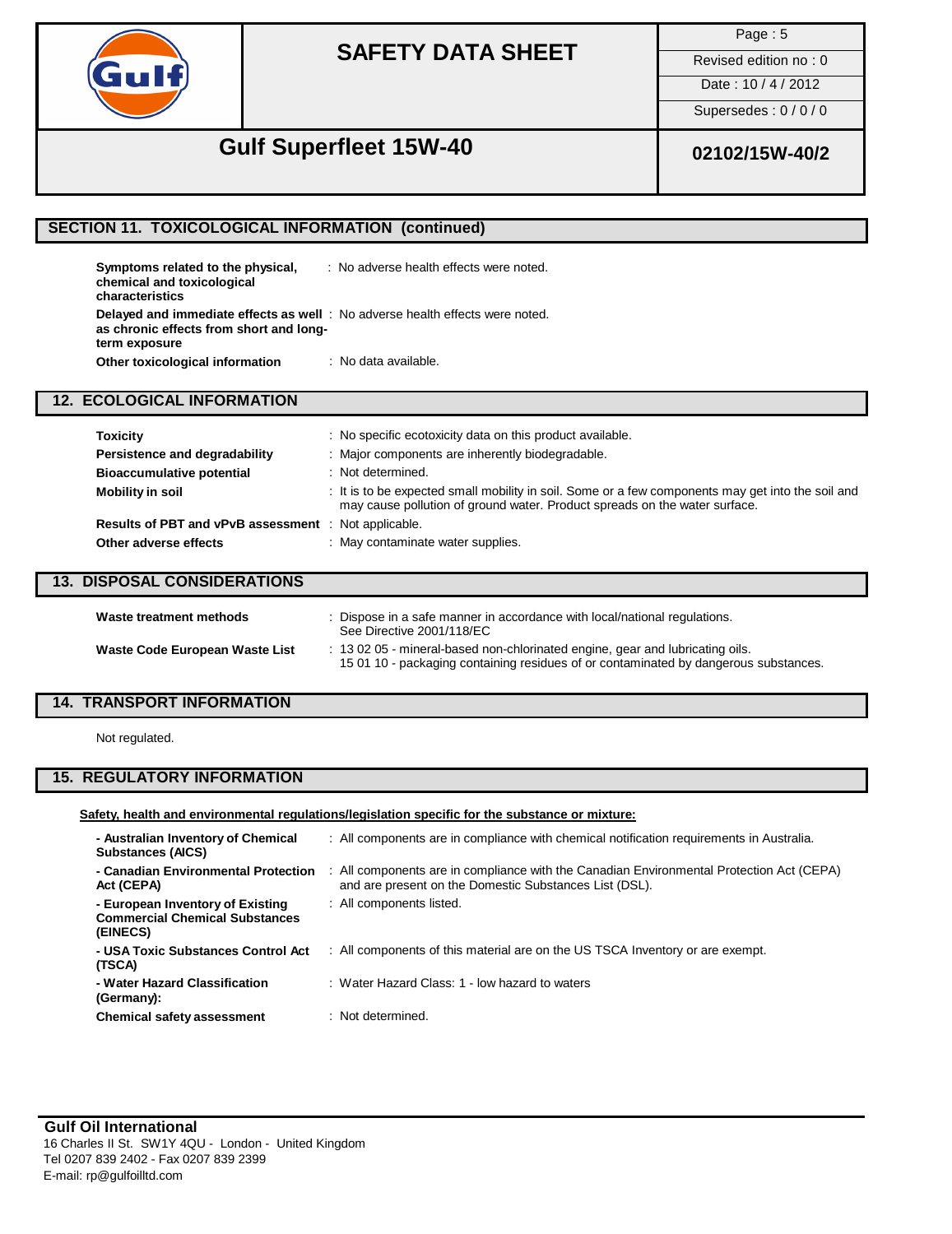

Page : 5

Revised edition no : 0

Date: 10 / 4 / 2012

Supersedes : 0 / 0 / 0

# **Gulf Superfleet 15W-40 02102/15W-40/2**

### **SECTION 11. TOXICOLOGICAL INFORMATION (continued)**

| Symptoms related to the physical,<br>chemical and toxicological<br>characteristics                                                               | : No adverse health effects were noted. |
|--------------------------------------------------------------------------------------------------------------------------------------------------|-----------------------------------------|
| <b>Delayed and immediate effects as well</b> : No adverse health effects were noted.<br>as chronic effects from short and long-<br>term exposure |                                         |
| Other toxicological information                                                                                                                  | : No data available.                    |

### **12. ECOLOGICAL INFORMATION**

| <b>Toxicity</b>                                             | No specific ecotoxicity data on this product available.                                                                                                                         |
|-------------------------------------------------------------|---------------------------------------------------------------------------------------------------------------------------------------------------------------------------------|
| Persistence and degradability                               | : Major components are inherently biodegradable.                                                                                                                                |
| <b>Bioaccumulative potential</b>                            | : Not determined.                                                                                                                                                               |
| Mobility in soil                                            | : It is to be expected small mobility in soil. Some or a few components may get into the soil and<br>may cause pollution of ground water. Product spreads on the water surface. |
| <b>Results of PBT and vPvB assessment</b> : Not applicable. |                                                                                                                                                                                 |
| Other adverse effects                                       | : May contaminate water supplies.                                                                                                                                               |
|                                                             |                                                                                                                                                                                 |

### **13. DISPOSAL CONSIDERATIONS**

| Waste treatment methods        | : Dispose in a safe manner in accordance with local/national regulations.<br>See Directive 2001/118/EC                                                               |
|--------------------------------|----------------------------------------------------------------------------------------------------------------------------------------------------------------------|
| Waste Code European Waste List | : 13 02 05 - mineral-based non-chlorinated engine, gear and lubricating oils.<br>1501 10 - packaging containing residues of or contaminated by dangerous substances. |

## **14. TRANSPORT INFORMATION**

Not regulated.

## **15. REGULATORY INFORMATION**

### **Safety, health and environmental regulations/legislation specific for the substance or mixture:**

| - Australian Inventory of Chemical<br><b>Substances (AICS)</b>                        | : All components are in compliance with chemical notification requirements in Australia.                                                           |
|---------------------------------------------------------------------------------------|----------------------------------------------------------------------------------------------------------------------------------------------------|
| - Canadian Environmental Protection<br>Act (CEPA)                                     | : All components are in compliance with the Canadian Environmental Protection Act (CEPA)<br>and are present on the Domestic Substances List (DSL). |
| - European Inventory of Existing<br><b>Commercial Chemical Substances</b><br>(EINECS) | : All components listed.                                                                                                                           |
| - USA Toxic Substances Control Act<br>(TSCA)                                          | : All components of this material are on the US TSCA Inventory or are exempt.                                                                      |
| - Water Hazard Classification<br>(Germany):                                           | : Water Hazard Class: 1 - low hazard to waters                                                                                                     |
| <b>Chemical safety assessment</b>                                                     | : Not determined.                                                                                                                                  |